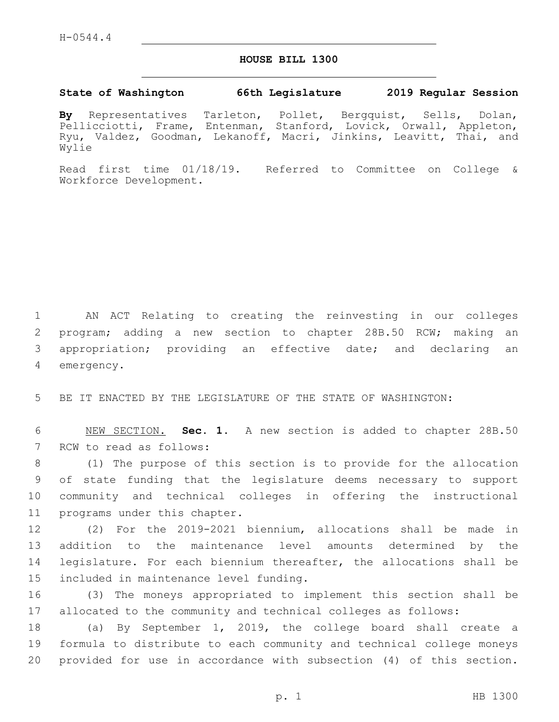## **HOUSE BILL 1300**

## **State of Washington 66th Legislature 2019 Regular Session**

**By** Representatives Tarleton, Pollet, Bergquist, Sells, Dolan, Pellicciotti, Frame, Entenman, Stanford, Lovick, Orwall, Appleton, Ryu, Valdez, Goodman, Lekanoff, Macri, Jinkins, Leavitt, Thai, and Wylie

Read first time 01/18/19. Referred to Committee on College & Workforce Development.

 AN ACT Relating to creating the reinvesting in our colleges program; adding a new section to chapter 28B.50 RCW; making an appropriation; providing an effective date; and declaring an 4 emergency.

5 BE IT ENACTED BY THE LEGISLATURE OF THE STATE OF WASHINGTON:

6 NEW SECTION. **Sec. 1.** A new section is added to chapter 28B.50 7 RCW to read as follows:

 (1) The purpose of this section is to provide for the allocation of state funding that the legislature deems necessary to support community and technical colleges in offering the instructional 11 programs under this chapter.

 (2) For the 2019-2021 biennium, allocations shall be made in addition to the maintenance level amounts determined by the legislature. For each biennium thereafter, the allocations shall be 15 included in maintenance level funding.

16 (3) The moneys appropriated to implement this section shall be 17 allocated to the community and technical colleges as follows:

18 (a) By September 1, 2019, the college board shall create a 19 formula to distribute to each community and technical college moneys 20 provided for use in accordance with subsection (4) of this section.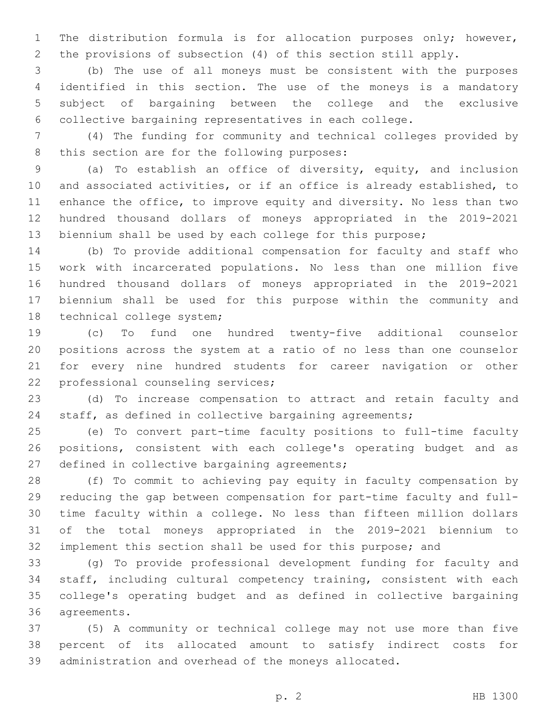The distribution formula is for allocation purposes only; however, the provisions of subsection (4) of this section still apply.

 (b) The use of all moneys must be consistent with the purposes identified in this section. The use of the moneys is a mandatory subject of bargaining between the college and the exclusive collective bargaining representatives in each college.

 (4) The funding for community and technical colleges provided by 8 this section are for the following purposes:

 (a) To establish an office of diversity, equity, and inclusion and associated activities, or if an office is already established, to enhance the office, to improve equity and diversity. No less than two hundred thousand dollars of moneys appropriated in the 2019-2021 biennium shall be used by each college for this purpose;

 (b) To provide additional compensation for faculty and staff who work with incarcerated populations. No less than one million five hundred thousand dollars of moneys appropriated in the 2019-2021 biennium shall be used for this purpose within the community and 18 technical college system;

 (c) To fund one hundred twenty-five additional counselor positions across the system at a ratio of no less than one counselor for every nine hundred students for career navigation or other 22 professional counseling services;

 (d) To increase compensation to attract and retain faculty and staff, as defined in collective bargaining agreements;

 (e) To convert part-time faculty positions to full-time faculty positions, consistent with each college's operating budget and as 27 defined in collective bargaining agreements;

 (f) To commit to achieving pay equity in faculty compensation by reducing the gap between compensation for part-time faculty and full- time faculty within a college. No less than fifteen million dollars of the total moneys appropriated in the 2019-2021 biennium to implement this section shall be used for this purpose; and

 (g) To provide professional development funding for faculty and staff, including cultural competency training, consistent with each college's operating budget and as defined in collective bargaining 36 agreements.

 (5) A community or technical college may not use more than five percent of its allocated amount to satisfy indirect costs for administration and overhead of the moneys allocated.